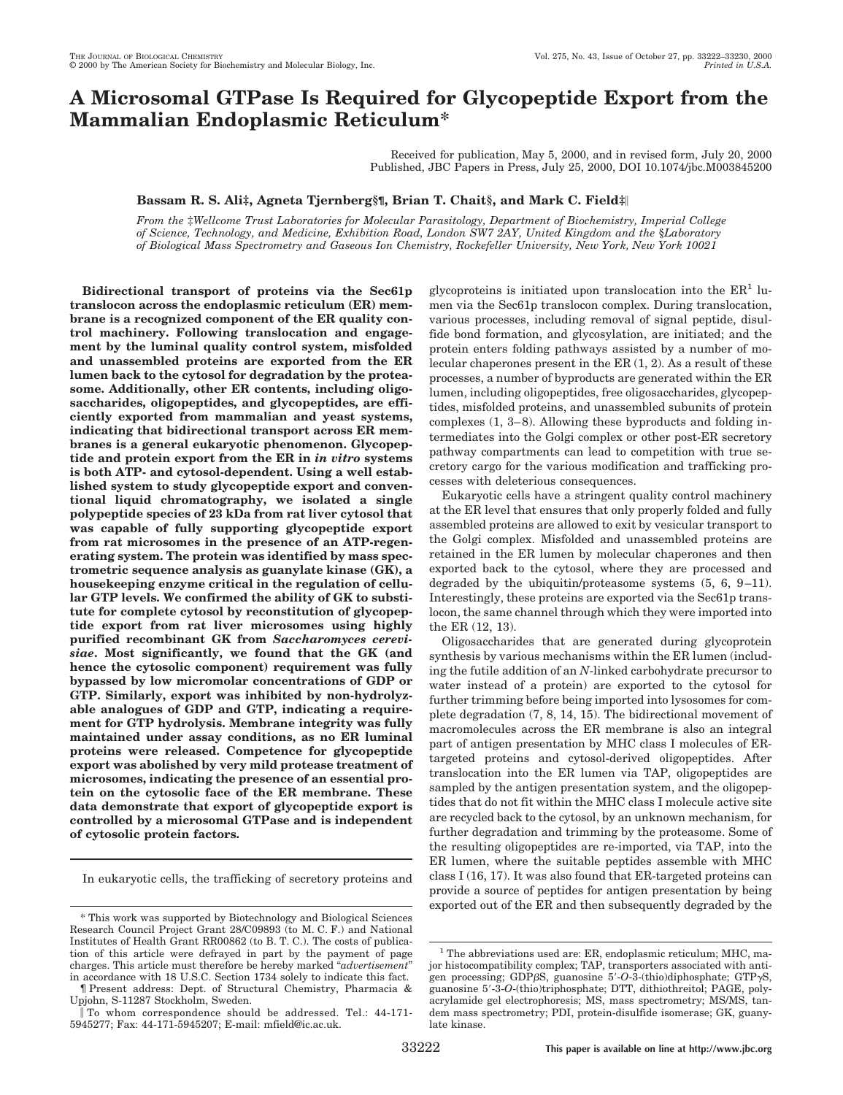# **A Microsomal GTPase Is Required for Glycopeptide Export from the Mammalian Endoplasmic Reticulum\***

Received for publication, May 5, 2000, and in revised form, July 20, 2000 Published, JBC Papers in Press, July 25, 2000, DOI 10.1074/jbc.M003845200

# **Bassam R. S. Ali‡, Agneta Tjernberg§¶, Brian T. Chait§, and Mark C. Field‡**i

*From the* ‡*Wellcome Trust Laboratories for Molecular Parasitology, Department of Biochemistry, Imperial College of Science, Technology, and Medicine, Exhibition Road, London SW7 2AY, United Kingdom and the* §*Laboratory of Biological Mass Spectrometry and Gaseous Ion Chemistry, Rockefeller University, New York, New York 10021*

**Bidirectional transport of proteins via the Sec61p translocon across the endoplasmic reticulum (ER) membrane is a recognized component of the ER quality control machinery. Following translocation and engagement by the luminal quality control system, misfolded and unassembled proteins are exported from the ER lumen back to the cytosol for degradation by the proteasome. Additionally, other ER contents, including oligosaccharides, oligopeptides, and glycopeptides, are efficiently exported from mammalian and yeast systems, indicating that bidirectional transport across ER membranes is a general eukaryotic phenomenon. Glycopeptide and protein export from the ER in** *in vitro* **systems is both ATP- and cytosol-dependent. Using a well established system to study glycopeptide export and conventional liquid chromatography, we isolated a single polypeptide species of 23 kDa from rat liver cytosol that was capable of fully supporting glycopeptide export from rat microsomes in the presence of an ATP-regenerating system. The protein was identified by mass spectrometric sequence analysis as guanylate kinase (GK), a housekeeping enzyme critical in the regulation of cellular GTP levels. We confirmed the ability of GK to substitute for complete cytosol by reconstitution of glycopeptide export from rat liver microsomes using highly purified recombinant GK from** *Saccharomyces cerevisiae***. Most significantly, we found that the GK (and hence the cytosolic component) requirement was fully bypassed by low micromolar concentrations of GDP or GTP. Similarly, export was inhibited by non-hydrolyzable analogues of GDP and GTP, indicating a requirement for GTP hydrolysis. Membrane integrity was fully maintained under assay conditions, as no ER luminal proteins were released. Competence for glycopeptide export was abolished by very mild protease treatment of microsomes, indicating the presence of an essential protein on the cytosolic face of the ER membrane. These data demonstrate that export of glycopeptide export is controlled by a microsomal GTPase and is independent of cytosolic protein factors.**

In eukaryotic cells, the trafficking of secretory proteins and

¶ Present address: Dept. of Structural Chemistry, Pharmacia & Upjohn, S-11287 Stockholm, Sweden.

glycoproteins is initiated upon translocation into the  $ER<sup>1</sup>$  lumen via the Sec61p translocon complex. During translocation, various processes, including removal of signal peptide, disulfide bond formation, and glycosylation, are initiated; and the protein enters folding pathways assisted by a number of molecular chaperones present in the ER (1, 2). As a result of these processes, a number of byproducts are generated within the ER lumen, including oligopeptides, free oligosaccharides, glycopeptides, misfolded proteins, and unassembled subunits of protein complexes (1, 3–8). Allowing these byproducts and folding intermediates into the Golgi complex or other post-ER secretory pathway compartments can lead to competition with true secretory cargo for the various modification and trafficking processes with deleterious consequences.

Eukaryotic cells have a stringent quality control machinery at the ER level that ensures that only properly folded and fully assembled proteins are allowed to exit by vesicular transport to the Golgi complex. Misfolded and unassembled proteins are retained in the ER lumen by molecular chaperones and then exported back to the cytosol, where they are processed and degraded by the ubiquitin/proteasome systems (5, 6, 9–11). Interestingly, these proteins are exported via the Sec61p translocon, the same channel through which they were imported into the ER (12, 13).

Oligosaccharides that are generated during glycoprotein synthesis by various mechanisms within the ER lumen (including the futile addition of an *N*-linked carbohydrate precursor to water instead of a protein) are exported to the cytosol for further trimming before being imported into lysosomes for complete degradation (7, 8, 14, 15). The bidirectional movement of macromolecules across the ER membrane is also an integral part of antigen presentation by MHC class I molecules of ERtargeted proteins and cytosol-derived oligopeptides. After translocation into the ER lumen via TAP, oligopeptides are sampled by the antigen presentation system, and the oligopeptides that do not fit within the MHC class I molecule active site are recycled back to the cytosol, by an unknown mechanism, for further degradation and trimming by the proteasome. Some of the resulting oligopeptides are re-imported, via TAP, into the ER lumen, where the suitable peptides assemble with MHC class I (16, 17). It was also found that ER-targeted proteins can provide a source of peptides for antigen presentation by being exported out of the ER and then subsequently degraded by the

<sup>\*</sup> This work was supported by Biotechnology and Biological Sciences Research Council Project Grant 28/C09893 (to M. C. F.) and National Institutes of Health Grant RR00862 (to B. T. C.). The costs of publication of this article were defrayed in part by the payment of page charges. This article must therefore be hereby marked "*advertisement*" in accordance with 18 U.S.C. Section 1734 solely to indicate this fact.

i To whom correspondence should be addressed. Tel.: 44-171- 5945277; Fax: 44-171-5945207; E-mail: mfield@ic.ac.uk.

<sup>&</sup>lt;sup>1</sup> The abbreviations used are: ER, endoplasmic reticulum; MHC, major histocompatibility complex; TAP, transporters associated with antigen processing; GDP $\beta$ S, guanosine 5'-O-3-(thio)diphosphate; GTP $\gamma$ S, guanosine 5'-3-*O*-(thio)triphosphate; DTT, dithiothreitol; PAGE, polyacrylamide gel electrophoresis; MS, mass spectrometry; MS/MS, tandem mass spectrometry; PDI, protein-disulfide isomerase; GK, guanylate kinase.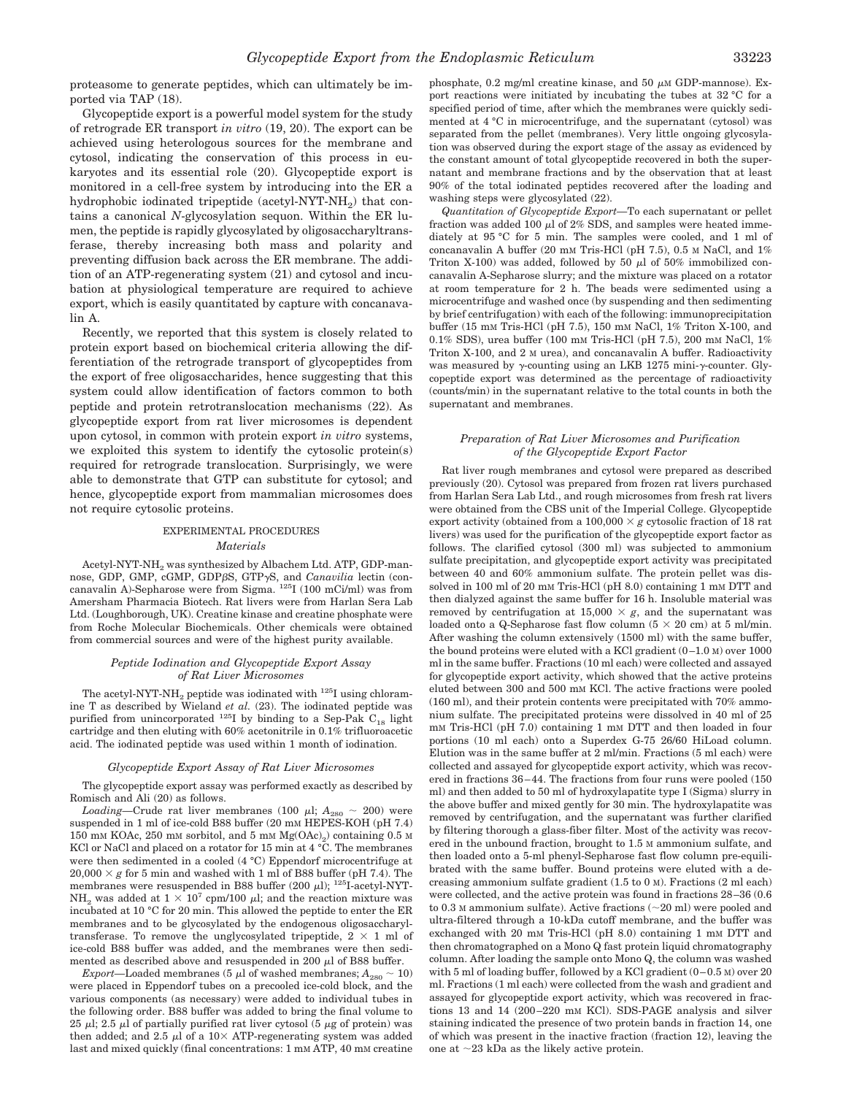proteasome to generate peptides, which can ultimately be imported via TAP (18).

Glycopeptide export is a powerful model system for the study of retrograde ER transport *in vitro* (19, 20). The export can be achieved using heterologous sources for the membrane and cytosol, indicating the conservation of this process in eukaryotes and its essential role (20). Glycopeptide export is monitored in a cell-free system by introducing into the ER a hydrophobic iodinated tripeptide (acetyl-NYT-NH<sub>2</sub>) that contains a canonical *N*-glycosylation sequon. Within the ER lumen, the peptide is rapidly glycosylated by oligosaccharyltransferase, thereby increasing both mass and polarity and preventing diffusion back across the ER membrane. The addition of an ATP-regenerating system (21) and cytosol and incubation at physiological temperature are required to achieve export, which is easily quantitated by capture with concanavalin A.

Recently, we reported that this system is closely related to protein export based on biochemical criteria allowing the differentiation of the retrograde transport of glycopeptides from the export of free oligosaccharides, hence suggesting that this system could allow identification of factors common to both peptide and protein retrotranslocation mechanisms (22). As glycopeptide export from rat liver microsomes is dependent upon cytosol, in common with protein export *in vitro* systems, we exploited this system to identify the cytosolic protein(s) required for retrograde translocation. Surprisingly, we were able to demonstrate that GTP can substitute for cytosol; and hence, glycopeptide export from mammalian microsomes does not require cytosolic proteins.

# EXPERIMENTAL PROCEDURES *Materials*

Acetyl-NYT-NH2 was synthesized by Albachem Ltd. ATP, GDP-mannose, GDP, GMP, cGMP, GDP<sub>BS</sub>, GTP<sub>Y</sub>S, and *Canavilia* lectin (concanavalin A)-Sepharose were from Sigma. 125I (100 mCi/ml) was from Amersham Pharmacia Biotech. Rat livers were from Harlan Sera Lab Ltd. (Loughborough, UK). Creatine kinase and creatine phosphate were from Roche Molecular Biochemicals. Other chemicals were obtained from commercial sources and were of the highest purity available.

# *Peptide Iodination and Glycopeptide Export Assay of Rat Liver Microsomes*

The acetyl-NYT-NH<sub>2</sub> peptide was iodinated with  $^{125}{\rm I}$  using chloramine T as described by Wieland *et al.* (23). The iodinated peptide was purified from unincorporated <sup>125</sup>I by binding to a Sep-Pak  $C_{18}$  light cartridge and then eluting with 60% acetonitrile in 0.1% trifluoroacetic acid. The iodinated peptide was used within 1 month of iodination.

# *Glycopeptide Export Assay of Rat Liver Microsomes*

The glycopeptide export assay was performed exactly as described by Romisch and Ali (20) as follows.

*Loading*—Crude rat liver membranes (100  $\mu$ l;  $A_{280} \sim 200$ ) were suspended in 1 ml of ice-cold B88 buffer (20 mm HEPES-KOH (pH 7.4) 150 mM KOAc, 250 mM sorbitol, and 5 mM  $Mg(OAc)_2)$  containing 0.5 M KCl or NaCl and placed on a rotator for 15 min at 4 °C. The membranes were then sedimented in a cooled (4 °C) Eppendorf microcentrifuge at  $20,000 \times g$  for 5 min and washed with 1 ml of B88 buffer (pH 7.4). The membranes were resuspended in B88 buffer (200  $\mu$ l); <sup>125</sup>I-acetyl-NYT-NH<sub>2</sub> was added at  $1 \times 10^7$  cpm/100  $\mu$ l; and the reaction mixture was incubated at 10 °C for 20 min. This allowed the peptide to enter the ER membranes and to be glycosylated by the endogenous oligosaccharyltransferase. To remove the unglycosylated tripeptide,  $2 \times 1$  ml of ice-cold B88 buffer was added, and the membranes were then sedimented as described above and resuspended in 200  $\mu l$  of B88 buffer.

*Export*—Loaded membranes (5  $\mu$ l of washed membranes;  $A_{280} \sim 10$ ) were placed in Eppendorf tubes on a precooled ice-cold block, and the various components (as necessary) were added to individual tubes in the following order. B88 buffer was added to bring the final volume to 25  $\mu$ l; 2.5  $\mu$ l of partially purified rat liver cytosol (5  $\mu$ g of protein) was then added; and 2.5  $\mu$ l of a 10 $\times$  ATP-regenerating system was added last and mixed quickly (final concentrations: 1 mM ATP, 40 mM creatine phosphate, 0.2 mg/ml creatine kinase, and 50  $\mu$ M GDP-mannose). Export reactions were initiated by incubating the tubes at 32 °C for a specified period of time, after which the membranes were quickly sedimented at 4 °C in microcentrifuge, and the supernatant (cytosol) was separated from the pellet (membranes). Very little ongoing glycosylation was observed during the export stage of the assay as evidenced by the constant amount of total glycopeptide recovered in both the supernatant and membrane fractions and by the observation that at least 90% of the total iodinated peptides recovered after the loading and washing steps were glycosylated (22).

*Quantitation of Glycopeptide Export—*To each supernatant or pellet fraction was added 100  $\mu$ l of 2% SDS, and samples were heated immediately at 95 °C for 5 min. The samples were cooled, and 1 ml of concanavalin A buffer (20 mm Tris-HCl (pH 7.5), 0.5 m NaCl, and  $1\%$ Triton X-100) was added, followed by 50  $\mu$ l of 50% immobilized concanavalin A-Sepharose slurry; and the mixture was placed on a rotator at room temperature for 2 h. The beads were sedimented using a microcentrifuge and washed once (by suspending and then sedimenting by brief centrifugation) with each of the following: immunoprecipitation buffer (15 mM Tris-HCl (pH 7.5), 150 mM NaCl, 1% Triton X-100, and 0.1% SDS), urea buffer (100 mM Tris-HCl (pH 7.5), 200 mM NaCl, 1% Triton X-100, and 2 M urea), and concanavalin A buffer. Radioactivity was measured by  $\gamma$ -counting using an LKB 1275 mini- $\gamma$ -counter. Glycopeptide export was determined as the percentage of radioactivity (counts/min) in the supernatant relative to the total counts in both the supernatant and membranes.

## *Preparation of Rat Liver Microsomes and Purification of the Glycopeptide Export Factor*

Rat liver rough membranes and cytosol were prepared as described previously (20). Cytosol was prepared from frozen rat livers purchased from Harlan Sera Lab Ltd., and rough microsomes from fresh rat livers were obtained from the CBS unit of the Imperial College. Glycopeptide export activity (obtained from a  $100,000 \times g$  cytosolic fraction of 18 rat livers) was used for the purification of the glycopeptide export factor as follows. The clarified cytosol (300 ml) was subjected to ammonium sulfate precipitation, and glycopeptide export activity was precipitated between 40 and 60% ammonium sulfate. The protein pellet was dissolved in 100 ml of 20 mM Tris-HCl (pH 8.0) containing 1 mM DTT and then dialyzed against the same buffer for 16 h. Insoluble material was removed by centrifugation at  $15,000 \times g$ , and the supernatant was loaded onto a Q-Sepharose fast flow column ( $5 \times 20$  cm) at 5 ml/min. After washing the column extensively (1500 ml) with the same buffer, the bound proteins were eluted with a KCl gradient  $(0-1.0 \text{ M})$  over 1000 ml in the same buffer. Fractions (10 ml each) were collected and assayed for glycopeptide export activity, which showed that the active proteins eluted between 300 and 500 mM KCl. The active fractions were pooled (160 ml), and their protein contents were precipitated with 70% ammonium sulfate. The precipitated proteins were dissolved in 40 ml of 25 mM Tris-HCl (pH 7.0) containing 1 mM DTT and then loaded in four portions (10 ml each) onto a Superdex G-75 26/60 HiLoad column. Elution was in the same buffer at 2 ml/min. Fractions (5 ml each) were collected and assayed for glycopeptide export activity, which was recovered in fractions 36–44. The fractions from four runs were pooled (150 ml) and then added to 50 ml of hydroxylapatite type I (Sigma) slurry in the above buffer and mixed gently for 30 min. The hydroxylapatite was removed by centrifugation, and the supernatant was further clarified by filtering thorough a glass-fiber filter. Most of the activity was recovered in the unbound fraction, brought to 1.5 M ammonium sulfate, and then loaded onto a 5-ml phenyl-Sepharose fast flow column pre-equilibrated with the same buffer. Bound proteins were eluted with a decreasing ammonium sulfate gradient (1.5 to 0 M). Fractions (2 ml each) were collected, and the active protein was found in fractions 28–36 (0.6 to 0.3 M ammonium sulfate). Active fractions  $(\sim 20$  ml) were pooled and ultra-filtered through a 10-kDa cutoff membrane, and the buffer was exchanged with 20 mM Tris-HCl (pH 8.0) containing 1 mM DTT and then chromatographed on a Mono Q fast protein liquid chromatography column. After loading the sample onto Mono Q, the column was washed with 5 ml of loading buffer, followed by a KCl gradient  $(0-0.5 \text{ M})$  over 20 ml. Fractions (1 ml each) were collected from the wash and gradient and assayed for glycopeptide export activity, which was recovered in fractions 13 and 14 (200–220 mM KCl). SDS-PAGE analysis and silver staining indicated the presence of two protein bands in fraction 14, one of which was present in the inactive fraction (fraction 12), leaving the one at  $\sim$ 23 kDa as the likely active protein.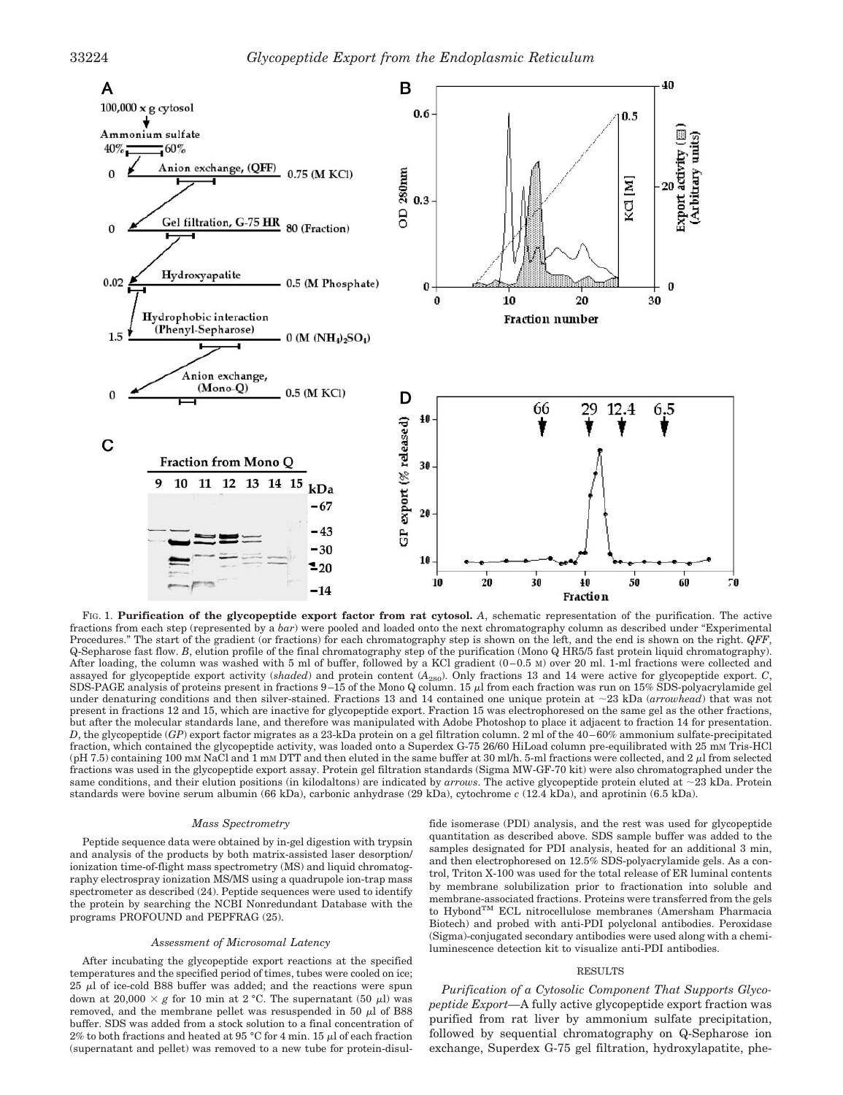

FIG. 1. **Purification of the glycopeptide export factor from rat cytosol.** *A*, schematic representation of the purification. The active fractions from each step (represented by a *bar*) were pooled and loaded onto the next chromatography column as described under "Experimental Procedures." The start of the gradient (or fractions) for each chromatography step is shown on the left, and the end is shown on the right. *QFF*, Q-Sepharose fast flow. *B*, elution profile of the final chromatography step of the purification (Mono Q HR5/5 fast protein liquid chromatography). After loading, the column was washed with 5 ml of buffer, followed by a KCl gradient (0–0.5 M) over 20 ml. 1-ml fractions were collected and assayed for glycopeptide export activity (*shaded*) and protein content (*A*280). Only fractions 13 and 14 were active for glycopeptide export. *C*, SDS-PAGE analysis of proteins present in fractions  $9-15$  of the Mono Q column. 15  $\mu$ l from each fraction was run on 15% SDS-polyacrylamide gel under denaturing conditions and then silver-stained. Fractions 13 and 14 contained one unique protein at  $\sim$ 23 kDa (*arrowhead*) that was not present in fractions 12 and 15, which are inactive for glycopeptide export. Fraction 15 was electrophoresed on the same gel as the other fractions, but after the molecular standards lane, and therefore was manipulated with Adobe Photoshop to place it adjacent to fraction 14 for presentation. *D*, the glycopeptide (*GP*) export factor migrates as a 23-kDa protein on a gel filtration column. 2 ml of the 40–60% ammonium sulfate-precipitated fraction, which contained the glycopeptide activity, was loaded onto a Superdex G-75 26/60 HiLoad column pre-equilibrated with 25 mM Tris-HCl (pH 7.5) containing 100 mM NaCl and 1 mM DTT and then eluted in the same buffer at 30 ml/h. 5-ml fractions were collected, and 2  $\mu$ l from selected fractions was used in the glycopeptide export assay. Protein gel filtration standards (Sigma MW-GF-70 kit) were also chromatographed under the same conditions, and their elution positions (in kilodaltons) are indicated by *arrows*. The active glycopeptide protein eluted at  $\sim$ 23 kDa. Protein standards were bovine serum albumin (66 kDa), carbonic anhydrase (29 kDa), cytochrome *c* (12.4 kDa), and aprotinin (6.5 kDa).

#### *Mass Spectrometry*

Peptide sequence data were obtained by in-gel digestion with trypsin and analysis of the products by both matrix-assisted laser desorption/ ionization time-of-flight mass spectrometry (MS) and liquid chromatography electrospray ionization MS/MS using a quadrupole ion-trap mass spectrometer as described (24). Peptide sequences were used to identify the protein by searching the NCBI Nonredundant Database with the programs PROFOUND and PEPFRAG (25).

## *Assessment of Microsomal Latency*

After incubating the glycopeptide export reactions at the specified temperatures and the specified period of times, tubes were cooled on ice;  $25 \mu$ l of ice-cold B88 buffer was added; and the reactions were spun down at 20,000  $\times g$  for 10 min at 2 °C. The supernatant (50  $\mu$ l) was removed, and the membrane pellet was resuspended in 50  $\mu$ l of B88 buffer. SDS was added from a stock solution to a final concentration of 2% to both fractions and heated at 95 °C for 4 min. 15  $\mu$ l of each fraction (supernatant and pellet) was removed to a new tube for protein-disulfide isomerase (PDI) analysis, and the rest was used for glycopeptide quantitation as described above. SDS sample buffer was added to the samples designated for PDI analysis, heated for an additional 3 min, and then electrophoresed on 12.5% SDS-polyacrylamide gels. As a control, Triton X-100 was used for the total release of ER luminal contents by membrane solubilization prior to fractionation into soluble and membrane-associated fractions. Proteins were transferred from the gels to Hybond $^{\text{\tiny{TM}}}$  ECL nitrocellulose membranes (Amersham Pharmacia Biotech) and probed with anti-PDI polyclonal antibodies. Peroxidase (Sigma)-conjugated secondary antibodies were used along with a chemiluminescence detection kit to visualize anti-PDI antibodies.

## RESULTS

*Purification of a Cytosolic Component That Supports Glycopeptide Export—*A fully active glycopeptide export fraction was purified from rat liver by ammonium sulfate precipitation, followed by sequential chromatography on Q-Sepharose ion exchange, Superdex G-75 gel filtration, hydroxylapatite, phe-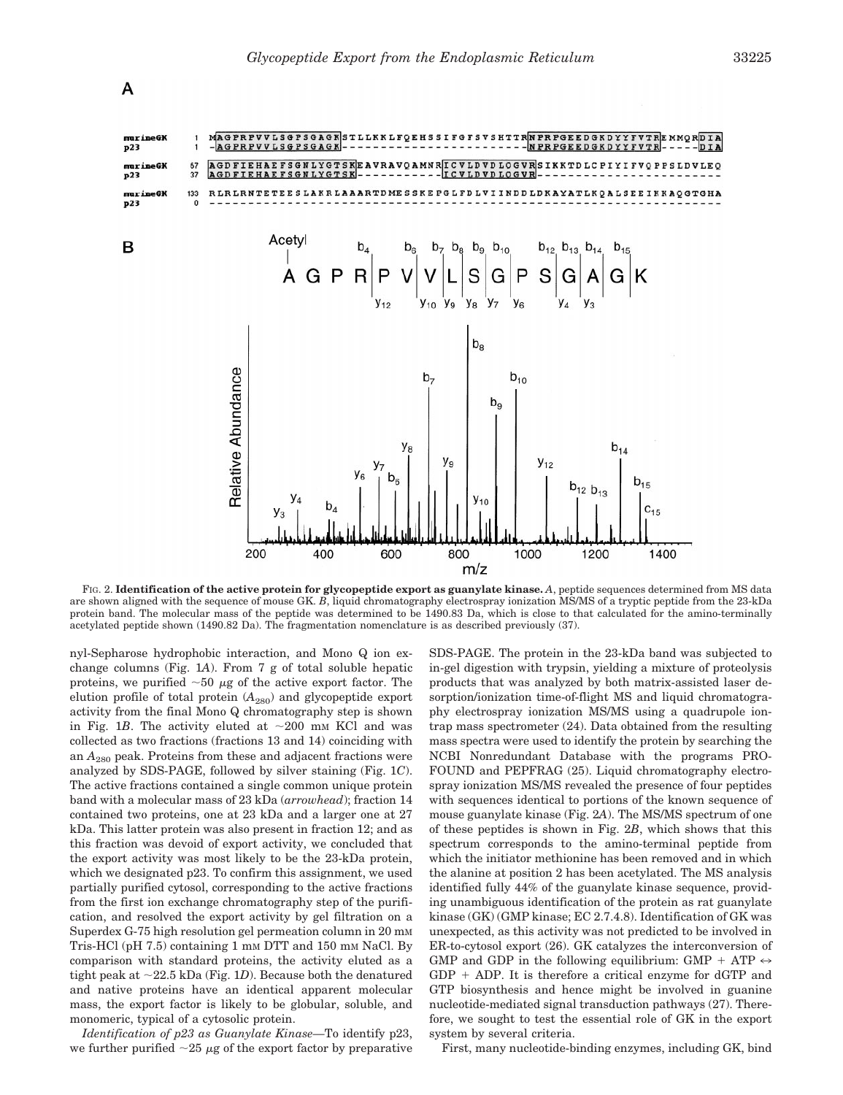

FIG. 2. **Identification of the active protein for glycopeptide export as guanylate kinase.** *A*, peptide sequences determined from MS data are shown aligned with the sequence of mouse GK. *B*, liquid chromatography electrospray ionization MS/MS of a tryptic peptide from the 23-kDa protein band. The molecular mass of the peptide was determined to be 1490.83 Da, which is close to that calculated for the amino-terminally acetylated peptide shown (1490.82 Da). The fragmentation nomenclature is as described previously (37).

nyl-Sepharose hydrophobic interaction, and Mono Q ion exchange columns (Fig. 1*A*). From 7 g of total soluble hepatic proteins, we purified  $\sim 50 \mu$ g of the active export factor. The elution profile of total protein  $(A_{280})$  and glycopeptide export activity from the final Mono Q chromatography step is shown in Fig. 1*B*. The activity eluted at  $\sim$ 200 mm KCl and was collected as two fractions (fractions 13 and 14) coinciding with an  $A_{280}$  peak. Proteins from these and adjacent fractions were analyzed by SDS-PAGE, followed by silver staining (Fig. 1*C*). The active fractions contained a single common unique protein band with a molecular mass of 23 kDa (*arrowhead*); fraction 14 contained two proteins, one at 23 kDa and a larger one at 27 kDa. This latter protein was also present in fraction 12; and as this fraction was devoid of export activity, we concluded that the export activity was most likely to be the 23-kDa protein, which we designated p23. To confirm this assignment, we used partially purified cytosol, corresponding to the active fractions from the first ion exchange chromatography step of the purification, and resolved the export activity by gel filtration on a Superdex G-75 high resolution gel permeation column in 20 mM Tris-HCl (pH 7.5) containing 1 mm DTT and 150 mm NaCl. By comparison with standard proteins, the activity eluted as a tight peak at  $\sim$ 22.5 kDa (Fig. 1*D*). Because both the denatured and native proteins have an identical apparent molecular mass, the export factor is likely to be globular, soluble, and monomeric, typical of a cytosolic protein.

*Identification of p23 as Guanylate Kinase—*To identify p23, we further purified  $\sim$ 25  $\mu$ g of the export factor by preparative SDS-PAGE. The protein in the 23-kDa band was subjected to in-gel digestion with trypsin, yielding a mixture of proteolysis products that was analyzed by both matrix-assisted laser desorption/ionization time-of-flight MS and liquid chromatography electrospray ionization MS/MS using a quadrupole iontrap mass spectrometer (24). Data obtained from the resulting mass spectra were used to identify the protein by searching the NCBI Nonredundant Database with the programs PRO-FOUND and PEPFRAG (25). Liquid chromatography electrospray ionization MS/MS revealed the presence of four peptides with sequences identical to portions of the known sequence of mouse guanylate kinase (Fig. 2*A*). The MS/MS spectrum of one of these peptides is shown in Fig. 2*B*, which shows that this spectrum corresponds to the amino-terminal peptide from which the initiator methionine has been removed and in which the alanine at position 2 has been acetylated. The MS analysis identified fully 44% of the guanylate kinase sequence, providing unambiguous identification of the protein as rat guanylate kinase (GK) (GMP kinase; EC 2.7.4.8). Identification of GK was unexpected, as this activity was not predicted to be involved in ER-to-cytosol export (26). GK catalyzes the interconversion of GMP and GDP in the following equilibrium: GMP + ATP  $\leftrightarrow$  $GDP + ADP$ . It is therefore a critical enzyme for dGTP and GTP biosynthesis and hence might be involved in guanine nucleotide-mediated signal transduction pathways (27). Therefore, we sought to test the essential role of GK in the export system by several criteria.

First, many nucleotide-binding enzymes, including GK, bind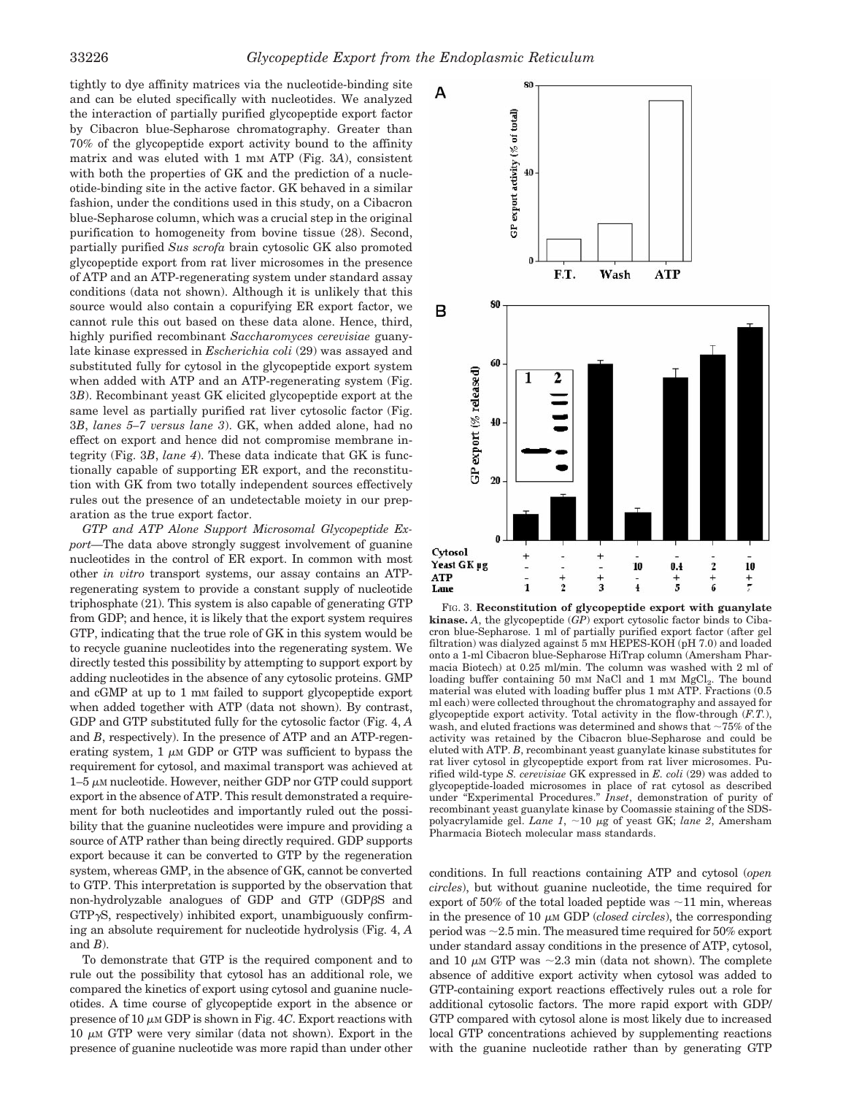tightly to dye affinity matrices via the nucleotide-binding site and can be eluted specifically with nucleotides. We analyzed the interaction of partially purified glycopeptide export factor by Cibacron blue-Sepharose chromatography. Greater than 70% of the glycopeptide export activity bound to the affinity matrix and was eluted with 1 mm ATP (Fig. 3A), consistent with both the properties of GK and the prediction of a nucleotide-binding site in the active factor. GK behaved in a similar fashion, under the conditions used in this study, on a Cibacron blue-Sepharose column, which was a crucial step in the original purification to homogeneity from bovine tissue (28). Second, partially purified *Sus scrofa* brain cytosolic GK also promoted glycopeptide export from rat liver microsomes in the presence of ATP and an ATP-regenerating system under standard assay conditions (data not shown). Although it is unlikely that this source would also contain a copurifying ER export factor, we cannot rule this out based on these data alone. Hence, third, highly purified recombinant *Saccharomyces cerevisiae* guanylate kinase expressed in *Escherichia coli* (29) was assayed and substituted fully for cytosol in the glycopeptide export system when added with ATP and an ATP-regenerating system (Fig. 3*B*). Recombinant yeast GK elicited glycopeptide export at the same level as partially purified rat liver cytosolic factor (Fig. 3*B*, *lanes 5–7 versus lane 3*). GK, when added alone, had no effect on export and hence did not compromise membrane integrity (Fig. 3*B*, *lane 4*). These data indicate that GK is functionally capable of supporting ER export, and the reconstitution with GK from two totally independent sources effectively rules out the presence of an undetectable moiety in our preparation as the true export factor.

*GTP and ATP Alone Support Microsomal Glycopeptide Export—*The data above strongly suggest involvement of guanine nucleotides in the control of ER export. In common with most other *in vitro* transport systems, our assay contains an ATPregenerating system to provide a constant supply of nucleotide triphosphate (21). This system is also capable of generating GTP from GDP; and hence, it is likely that the export system requires GTP, indicating that the true role of GK in this system would be to recycle guanine nucleotides into the regenerating system. We directly tested this possibility by attempting to support export by adding nucleotides in the absence of any cytosolic proteins. GMP and cGMP at up to 1 mM failed to support glycopeptide export when added together with ATP (data not shown). By contrast, GDP and GTP substituted fully for the cytosolic factor (Fig. 4, *A* and *B*, respectively). In the presence of ATP and an ATP-regenerating system,  $1 \mu M$  GDP or GTP was sufficient to bypass the requirement for cytosol, and maximal transport was achieved at  $1-5 \mu$ M nucleotide. However, neither GDP nor GTP could support export in the absence of ATP. This result demonstrated a requirement for both nucleotides and importantly ruled out the possibility that the guanine nucleotides were impure and providing a source of ATP rather than being directly required. GDP supports export because it can be converted to GTP by the regeneration system, whereas GMP, in the absence of GK, cannot be converted to GTP. This interpretation is supported by the observation that non-hydrolyzable analogues of GDP and GTP  $(GDP\beta S)$  and  $GTP<sub>y</sub>S$ , respectively) inhibited export, unambiguously confirming an absolute requirement for nucleotide hydrolysis (Fig. 4, *A* and *B*).

To demonstrate that GTP is the required component and to rule out the possibility that cytosol has an additional role, we compared the kinetics of export using cytosol and guanine nucleotides. A time course of glycopeptide export in the absence or presence of 10  $\mu$ M GDP is shown in Fig. 4*C*. Export reactions with  $10 \mu M$  GTP were very similar (data not shown). Export in the presence of guanine nucleotide was more rapid than under other



FIG. 3. **Reconstitution of glycopeptide export with guanylate kinase.** *A*, the glycopeptide (*GP*) export cytosolic factor binds to Cibacron blue-Sepharose. 1 ml of partially purified export factor (after gel filtration) was dialyzed against 5 mm HEPES-KOH (pH 7.0) and loaded onto a 1-ml Cibacron blue-Sepharose HiTrap column (Amersham Pharmacia Biotech) at 0.25 ml/min. The column was washed with 2 ml of loading buffer containing 50 mm NaCl and 1 mm MgCl<sub>2</sub>. The bound material was eluted with loading buffer plus 1 mM ATP. Fractions (0.5 ml each) were collected throughout the chromatography and assayed for glycopeptide export activity. Total activity in the flow-through (*F.T.*), wash, and eluted fractions was determined and shows that  $\sim75\%$  of the activity was retained by the Cibacron blue-Sepharose and could be eluted with ATP. *B*, recombinant yeast guanylate kinase substitutes for rat liver cytosol in glycopeptide export from rat liver microsomes. Purified wild-type *S. cerevisiae* GK expressed in *E. coli* (29) was added to glycopeptide-loaded microsomes in place of rat cytosol as described under "Experimental Procedures." *Inset*, demonstration of purity of recombinant yeast guanylate kinase by Coomassie staining of the SDSpolyacrylamide gel. *Lane 1*,  $\sim$ 10  $\mu$ g of yeast GK; *lane 2*, Amersham Pharmacia Biotech molecular mass standards.

conditions. In full reactions containing ATP and cytosol (*open circles*), but without guanine nucleotide, the time required for export of 50% of the total loaded peptide was  $\sim$ 11 min, whereas in the presence of 10  $\mu$ M GDP (*closed circles*), the corresponding period was  $\sim$  2.5 min. The measured time required for 50% export under standard assay conditions in the presence of ATP, cytosol, and 10  $\mu$ M GTP was  $\sim$ 2.3 min (data not shown). The complete absence of additive export activity when cytosol was added to GTP-containing export reactions effectively rules out a role for additional cytosolic factors. The more rapid export with GDP/ GTP compared with cytosol alone is most likely due to increased local GTP concentrations achieved by supplementing reactions with the guanine nucleotide rather than by generating GTP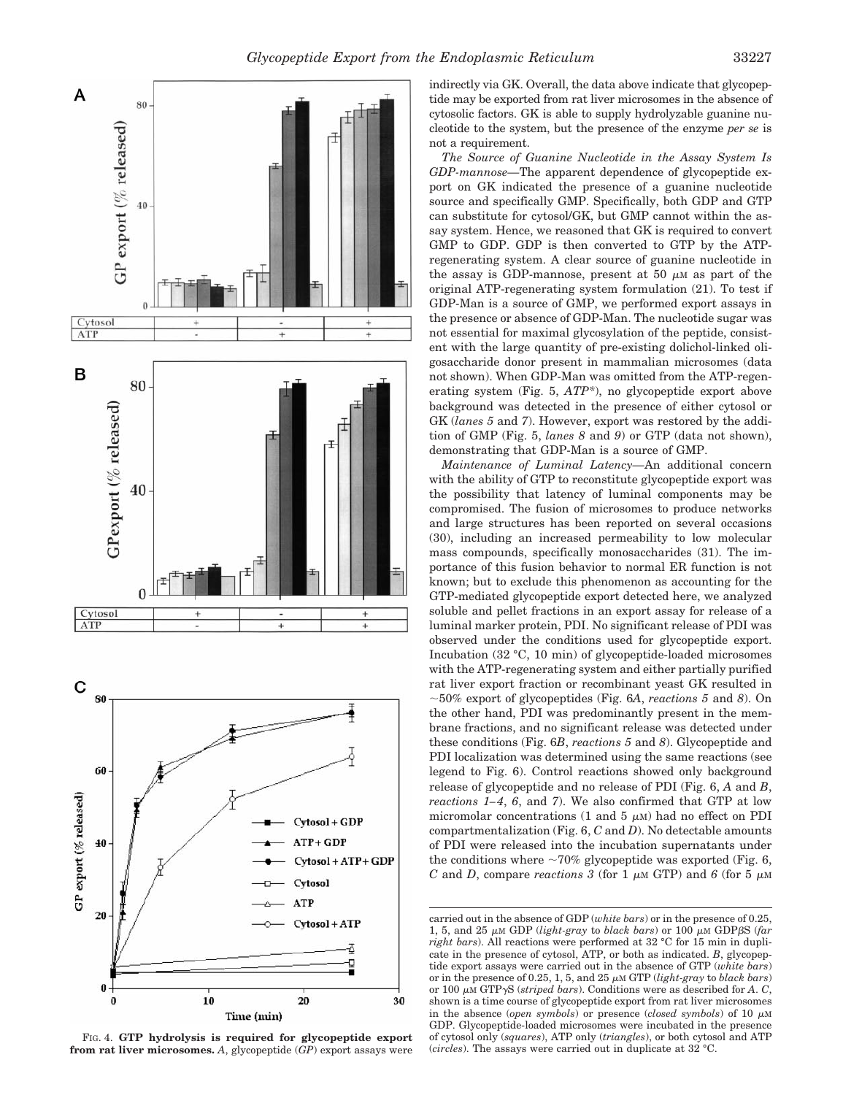

FIG. 4. **GTP hydrolysis is required for glycopeptide export from rat liver microsomes.** *A*, glycopeptide (*GP*) export assays were

indirectly via GK. Overall, the data above indicate that glycopeptide may be exported from rat liver microsomes in the absence of cytosolic factors. GK is able to supply hydrolyzable guanine nucleotide to the system, but the presence of the enzyme *per se* is not a requirement.

*The Source of Guanine Nucleotide in the Assay System Is GDP-mannose—*The apparent dependence of glycopeptide export on GK indicated the presence of a guanine nucleotide source and specifically GMP. Specifically, both GDP and GTP can substitute for cytosol/GK, but GMP cannot within the assay system. Hence, we reasoned that GK is required to convert GMP to GDP. GDP is then converted to GTP by the ATPregenerating system. A clear source of guanine nucleotide in the assay is GDP-mannose, present at 50  $\mu$ M as part of the original ATP-regenerating system formulation (21). To test if GDP-Man is a source of GMP, we performed export assays in the presence or absence of GDP-Man. The nucleotide sugar was not essential for maximal glycosylation of the peptide, consistent with the large quantity of pre-existing dolichol-linked oligosaccharide donor present in mammalian microsomes (data not shown). When GDP-Man was omitted from the ATP-regenerating system (Fig. 5, *ATP\**), no glycopeptide export above background was detected in the presence of either cytosol or GK (*lanes 5* and *7*). However, export was restored by the addition of GMP (Fig. 5, *lanes 8* and *9*) or GTP (data not shown), demonstrating that GDP-Man is a source of GMP.

*Maintenance of Luminal Latency—*An additional concern with the ability of GTP to reconstitute glycopeptide export was the possibility that latency of luminal components may be compromised. The fusion of microsomes to produce networks and large structures has been reported on several occasions (30), including an increased permeability to low molecular mass compounds, specifically monosaccharides (31). The importance of this fusion behavior to normal ER function is not known; but to exclude this phenomenon as accounting for the GTP-mediated glycopeptide export detected here, we analyzed soluble and pellet fractions in an export assay for release of a luminal marker protein, PDI. No significant release of PDI was observed under the conditions used for glycopeptide export. Incubation (32 °C, 10 min) of glycopeptide-loaded microsomes with the ATP-regenerating system and either partially purified rat liver export fraction or recombinant yeast GK resulted in ;50% export of glycopeptides (Fig. 6*A*, *reactions 5* and *8*). On the other hand, PDI was predominantly present in the membrane fractions, and no significant release was detected under these conditions (Fig. 6*B*, *reactions 5* and *8*). Glycopeptide and PDI localization was determined using the same reactions (see legend to Fig. 6). Control reactions showed only background release of glycopeptide and no release of PDI (Fig. 6, *A* and *B*, *reactions 1–4*, *6*, and *7*). We also confirmed that GTP at low micromolar concentrations (1 and 5  $\mu$ M) had no effect on PDI compartmentalization (Fig. 6, *C* and *D*). No detectable amounts of PDI were released into the incubation supernatants under the conditions where  $\sim70\%$  glycopeptide was exported (Fig. 6, *C* and *D*, compare *reactions* 3 (for 1  $\mu$ M GTP) and 6 (for 5  $\mu$ M

carried out in the absence of GDP (*white bars*) or in the presence of 0.25, 1, 5, and 25  $\mu$ M GDP (*light-gray* to *black bars*) or 100  $\mu$ M GDP $\beta$ S (*far right bars*). All reactions were performed at 32 °C for 15 min in duplicate in the presence of cytosol, ATP, or both as indicated. *B*, glycopeptide export assays were carried out in the absence of GTP (*white bars*) or in the presence of 0.25, 1, 5, and 25  $\mu$ M GTP (*light-gray* to *black bars*) or 100  $\mu$ M GTP $\gamma$ S (*striped bars*). Conditions were as described for *A*. *C*, shown is a time course of glycopeptide export from rat liver microsomes in the absence (*open symbols*) or presence (*closed symbols*) of 10  $\mu$ M GDP. Glycopeptide-loaded microsomes were incubated in the presence of cytosol only (*squares*), ATP only (*triangles*), or both cytosol and ATP (*circles*). The assays were carried out in duplicate at 32 °C.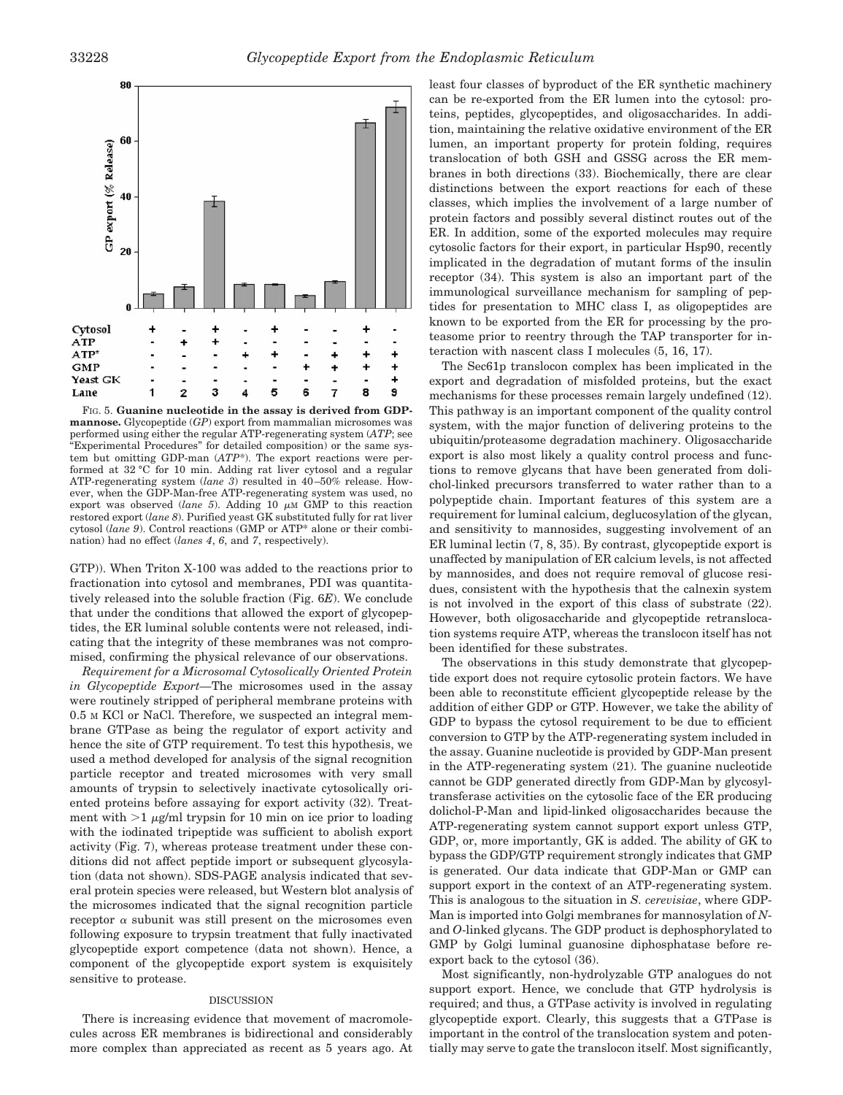

FIG. 5. **Guanine nucleotide in the assay is derived from GDPmannose.** Glycopeptide (*GP*) export from mammalian microsomes was performed using either the regular ATP-regenerating system (*ATP*; see "Experimental Procedures" for detailed composition) or the same system but omitting GDP-man (*ATP\**). The export reactions were performed at 32 °C for 10 min. Adding rat liver cytosol and a regular ATP-regenerating system (*lane 3*) resulted in 40–50% release. However, when the GDP-Man-free ATP-regenerating system was used, no export was observed (*lane 5*). Adding 10  $\mu$ M GMP to this reaction restored export (*lane 8*). Purified yeast GK substituted fully for rat liver cytosol (*lane 9*). Control reactions (GMP or ATP\* alone or their combination) had no effect (*lanes 4*, *6*, and *7*, respectively).

GTP)). When Triton X-100 was added to the reactions prior to fractionation into cytosol and membranes, PDI was quantitatively released into the soluble fraction (Fig. 6*E*). We conclude that under the conditions that allowed the export of glycopeptides, the ER luminal soluble contents were not released, indicating that the integrity of these membranes was not compromised, confirming the physical relevance of our observations.

*Requirement for a Microsomal Cytosolically Oriented Protein in Glycopeptide Export—*The microsomes used in the assay were routinely stripped of peripheral membrane proteins with 0.5 M KCl or NaCl. Therefore, we suspected an integral membrane GTPase as being the regulator of export activity and hence the site of GTP requirement. To test this hypothesis, we used a method developed for analysis of the signal recognition particle receptor and treated microsomes with very small amounts of trypsin to selectively inactivate cytosolically oriented proteins before assaying for export activity (32). Treatment with  $>1$   $\mu$ g/ml trypsin for 10 min on ice prior to loading with the iodinated tripeptide was sufficient to abolish export activity (Fig. 7), whereas protease treatment under these conditions did not affect peptide import or subsequent glycosylation (data not shown). SDS-PAGE analysis indicated that several protein species were released, but Western blot analysis of the microsomes indicated that the signal recognition particle receptor  $\alpha$  subunit was still present on the microsomes even following exposure to trypsin treatment that fully inactivated glycopeptide export competence (data not shown). Hence, a component of the glycopeptide export system is exquisitely sensitive to protease.

# DISCUSSION

There is increasing evidence that movement of macromolecules across ER membranes is bidirectional and considerably more complex than appreciated as recent as 5 years ago. At least four classes of byproduct of the ER synthetic machinery can be re-exported from the ER lumen into the cytosol: proteins, peptides, glycopeptides, and oligosaccharides. In addition, maintaining the relative oxidative environment of the ER lumen, an important property for protein folding, requires translocation of both GSH and GSSG across the ER membranes in both directions (33). Biochemically, there are clear distinctions between the export reactions for each of these classes, which implies the involvement of a large number of protein factors and possibly several distinct routes out of the ER. In addition, some of the exported molecules may require cytosolic factors for their export, in particular Hsp90, recently implicated in the degradation of mutant forms of the insulin receptor (34). This system is also an important part of the immunological surveillance mechanism for sampling of peptides for presentation to MHC class I, as oligopeptides are known to be exported from the ER for processing by the proteasome prior to reentry through the TAP transporter for interaction with nascent class I molecules (5, 16, 17).

The Sec61p translocon complex has been implicated in the export and degradation of misfolded proteins, but the exact mechanisms for these processes remain largely undefined (12). This pathway is an important component of the quality control system, with the major function of delivering proteins to the ubiquitin/proteasome degradation machinery. Oligosaccharide export is also most likely a quality control process and functions to remove glycans that have been generated from dolichol-linked precursors transferred to water rather than to a polypeptide chain. Important features of this system are a requirement for luminal calcium, deglucosylation of the glycan, and sensitivity to mannosides, suggesting involvement of an ER luminal lectin (7, 8, 35). By contrast, glycopeptide export is unaffected by manipulation of ER calcium levels, is not affected by mannosides, and does not require removal of glucose residues, consistent with the hypothesis that the calnexin system is not involved in the export of this class of substrate (22). However, both oligosaccharide and glycopeptide retranslocation systems require ATP, whereas the translocon itself has not been identified for these substrates.

The observations in this study demonstrate that glycopeptide export does not require cytosolic protein factors. We have been able to reconstitute efficient glycopeptide release by the addition of either GDP or GTP. However, we take the ability of GDP to bypass the cytosol requirement to be due to efficient conversion to GTP by the ATP-regenerating system included in the assay. Guanine nucleotide is provided by GDP-Man present in the ATP-regenerating system (21). The guanine nucleotide cannot be GDP generated directly from GDP-Man by glycosyltransferase activities on the cytosolic face of the ER producing dolichol-P-Man and lipid-linked oligosaccharides because the ATP-regenerating system cannot support export unless GTP, GDP, or, more importantly, GK is added. The ability of GK to bypass the GDP/GTP requirement strongly indicates that GMP is generated. Our data indicate that GDP-Man or GMP can support export in the context of an ATP-regenerating system. This is analogous to the situation in *S. cerevisiae*, where GDP-Man is imported into Golgi membranes for mannosylation of *N*and *O*-linked glycans. The GDP product is dephosphorylated to GMP by Golgi luminal guanosine diphosphatase before reexport back to the cytosol (36).

Most significantly, non-hydrolyzable GTP analogues do not support export. Hence, we conclude that GTP hydrolysis is required; and thus, a GTPase activity is involved in regulating glycopeptide export. Clearly, this suggests that a GTPase is important in the control of the translocation system and potentially may serve to gate the translocon itself. Most significantly,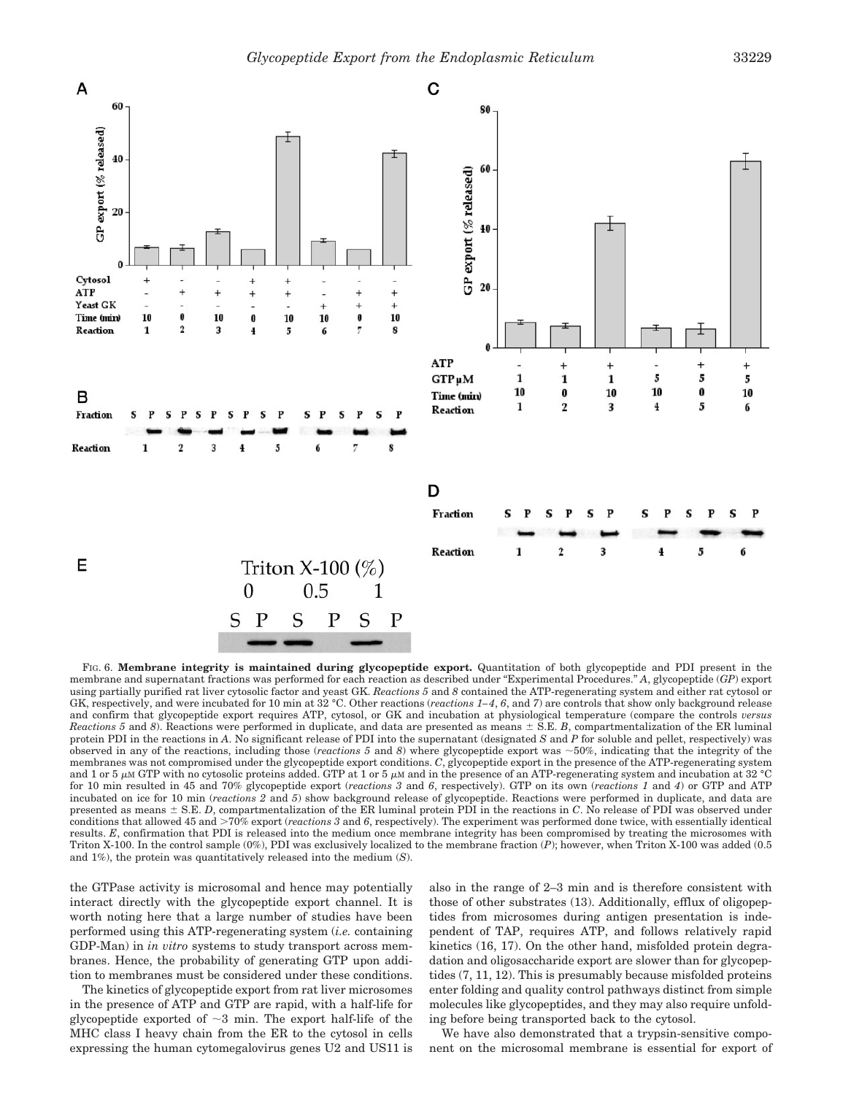

FIG. 6. **Membrane integrity is maintained during glycopeptide export.** Quantitation of both glycopeptide and PDI present in the membrane and supernatant fractions was performed for each reaction as described under "Experimental Procedures." *A*, glycopeptide (*GP*) export using partially purified rat liver cytosolic factor and yeast GK. *Reactions 5* and *8* contained the ATP-regenerating system and either rat cytosol or GK, respectively, and were incubated for 10 min at 32 °C. Other reactions (*reactions 1–4*, *6*, and *7*) are controls that show only background release and confirm that glycopeptide export requires ATP, cytosol, or GK and incubation at physiological temperature (compare the controls *versus Reactions 5* and *8*). Reactions were performed in duplicate, and data are presented as means  $\pm$  S.E. *B*, compartmentalization of the ER luminal protein PDI in the reactions in *A*. No significant release of PDI into the supernatant (designated *S* and *P* for soluble and pellet, respectively) was observed in any of the reactions, including those (*reactions*  $5$  and  $8$ ) where glycopeptide export was  $\sim$ 50%, indicating that the integrity of the membranes was not compromised under the glycopeptide export conditions. *C*, glycopeptide export in the presence of the ATP-regenerating system and 1 or 5  $\mu$ M GTP with no cytosolic proteins added. GTP at 1 or 5  $\mu$ M and in the presence of an ATP-regenerating system and incubation at 32 °C for 10 min resulted in 45 and 70% glycopeptide export (*reactions 3* and *6*, respectively). GTP on its own (*reactions 1* and *4*) or GTP and ATP incubated on ice for 10 min (*reactions 2* and *5*) show background release of glycopeptide. Reactions were performed in duplicate, and data are presented as means  $\pm$  S.E. *D*, compartmentalization of the ER luminal protein PDI in the reactions in *C*. No release of PDI was observed under conditions that allowed 45 and >70% export (*reactions 3* and 6, respectively). The experiment was performed done twice, with essentially identical results. *E*, confirmation that PDI is released into the medium once membrane integrity has been compromised by treating the microsomes with Triton X-100. In the control sample (0%), PDI was exclusively localized to the membrane fraction (*P*); however, when Triton X-100 was added (0.5 and 1%), the protein was quantitatively released into the medium (*S*).

the GTPase activity is microsomal and hence may potentially interact directly with the glycopeptide export channel. It is worth noting here that a large number of studies have been performed using this ATP-regenerating system (*i.e.* containing GDP-Man) in *in vitro* systems to study transport across membranes. Hence, the probability of generating GTP upon addition to membranes must be considered under these conditions.

The kinetics of glycopeptide export from rat liver microsomes in the presence of ATP and GTP are rapid, with a half-life for glycopeptide exported of  $\sim$ 3 min. The export half-life of the MHC class I heavy chain from the ER to the cytosol in cells expressing the human cytomegalovirus genes U2 and US11 is also in the range of 2–3 min and is therefore consistent with those of other substrates (13). Additionally, efflux of oligopeptides from microsomes during antigen presentation is independent of TAP, requires ATP, and follows relatively rapid kinetics (16, 17). On the other hand, misfolded protein degradation and oligosaccharide export are slower than for glycopeptides (7, 11, 12). This is presumably because misfolded proteins enter folding and quality control pathways distinct from simple molecules like glycopeptides, and they may also require unfolding before being transported back to the cytosol.

We have also demonstrated that a trypsin-sensitive component on the microsomal membrane is essential for export of